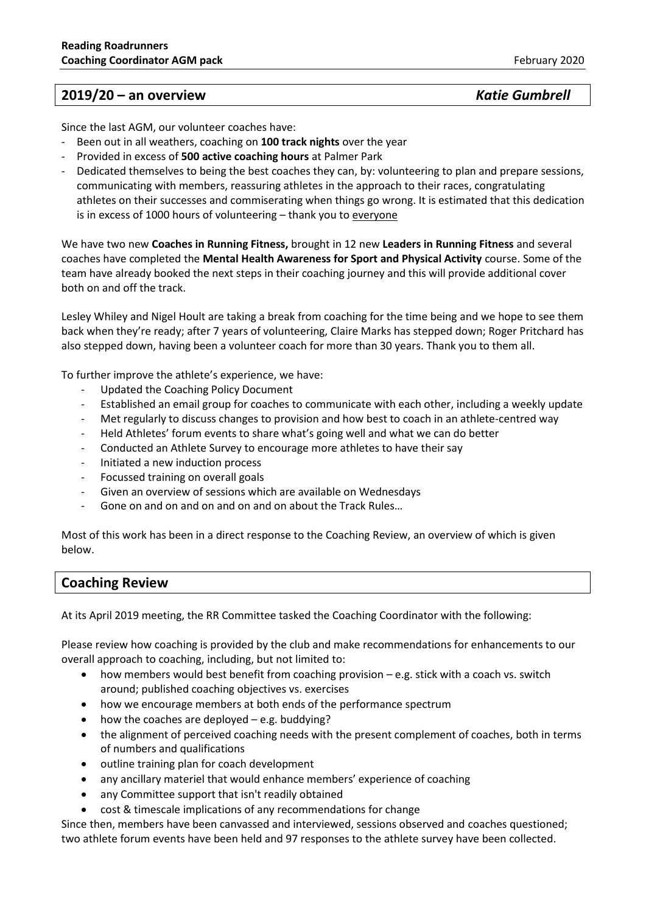## **2019/20 – an overview** *Katie Gumbrell*

Since the last AGM, our volunteer coaches have:

- Been out in all weathers, coaching on **100 track nights** over the year
- Provided in excess of **500 active coaching hours** at Palmer Park
- Dedicated themselves to being the best coaches they can, by: volunteering to plan and prepare sessions, communicating with members, reassuring athletes in the approach to their races, congratulating athletes on their successes and commiserating when things go wrong. It is estimated that this dedication is in excess of 1000 hours of volunteering – thank you to everyone

We have two new **Coaches in Running Fitness,** brought in 12 new **Leaders in Running Fitness** and several coaches have completed the **Mental Health Awareness for Sport and Physical Activity** course. Some of the team have already booked the next steps in their coaching journey and this will provide additional cover both on and off the track.

Lesley Whiley and Nigel Hoult are taking a break from coaching for the time being and we hope to see them back when they're ready; after 7 years of volunteering, Claire Marks has stepped down; Roger Pritchard has also stepped down, having been a volunteer coach for more than 30 years. Thank you to them all.

To further improve the athlete's experience, we have:

- Updated the Coaching Policy Document
- Established an email group for coaches to communicate with each other, including a weekly update
- Met regularly to discuss changes to provision and how best to coach in an athlete-centred way
- Held Athletes' forum events to share what's going well and what we can do better
- Conducted an Athlete Survey to encourage more athletes to have their say
- Initiated a new induction process
- Focussed training on overall goals
- Given an overview of sessions which are available on Wednesdays
- Gone on and on and on and on and on about the Track Rules…

Most of this work has been in a direct response to the Coaching Review, an overview of which is given below.

### **Coaching Review**

At its April 2019 meeting, the RR Committee tasked the Coaching Coordinator with the following:

Please review how coaching is provided by the club and make recommendations for enhancements to our overall approach to coaching, including, but not limited to:

- how members would best benefit from coaching provision e.g. stick with a coach vs. switch around; published coaching objectives vs. exercises
- how we encourage members at both ends of the performance spectrum
- how the coaches are deployed  $-$  e.g. buddying?
- the alignment of perceived coaching needs with the present complement of coaches, both in terms of numbers and qualifications
- outline training plan for coach development
- any ancillary materiel that would enhance members' experience of coaching
- any Committee support that isn't readily obtained
- cost & timescale implications of any recommendations for change

Since then, members have been canvassed and interviewed, sessions observed and coaches questioned; two athlete forum events have been held and 97 responses to the athlete survey have been collected.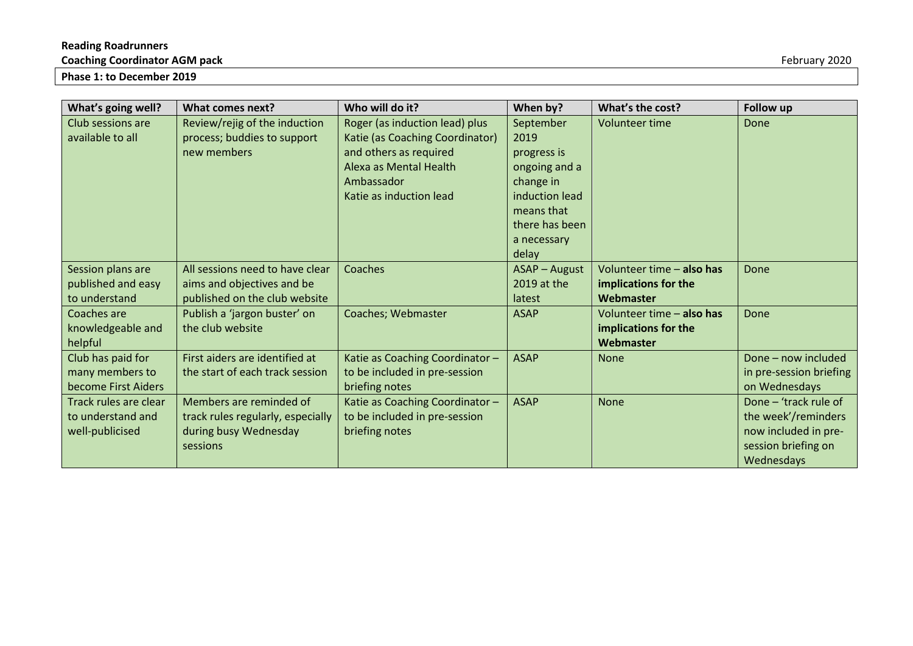# **Reading Roadrunners**

**Coaching Coordinator AGM pack** February 2020

**Phase 1: to December 2019**

| What's going well?    | What comes next?                  | Who will do it?                 | When by?             | What's the cost?          | <b>Follow up</b>        |
|-----------------------|-----------------------------------|---------------------------------|----------------------|---------------------------|-------------------------|
| Club sessions are     | Review/rejig of the induction     | Roger (as induction lead) plus  | September            | <b>Volunteer time</b>     | Done                    |
| available to all      | process; buddies to support       | Katie (as Coaching Coordinator) | 2019                 |                           |                         |
|                       | new members                       | and others as required          | progress is          |                           |                         |
|                       |                                   | Alexa as Mental Health          | ongoing and a        |                           |                         |
|                       |                                   | Ambassador                      | change in            |                           |                         |
|                       |                                   | Katie as induction lead         | induction lead       |                           |                         |
|                       |                                   |                                 | means that           |                           |                         |
|                       |                                   |                                 | there has been       |                           |                         |
|                       |                                   |                                 | a necessary          |                           |                         |
|                       |                                   |                                 | delay                |                           |                         |
| Session plans are     | All sessions need to have clear   | Coaches                         | <b>ASAP</b> - August | Volunteer time - also has | Done                    |
| published and easy    | aims and objectives and be        |                                 | 2019 at the          | implications for the      |                         |
| to understand         | published on the club website     |                                 | latest               | Webmaster                 |                         |
| Coaches are           | Publish a 'jargon buster' on      | Coaches; Webmaster              | <b>ASAP</b>          | Volunteer time - also has | Done                    |
| knowledgeable and     | the club website                  |                                 |                      | implications for the      |                         |
| helpful               |                                   |                                 |                      | Webmaster                 |                         |
| Club has paid for     | First aiders are identified at    | Katie as Coaching Coordinator - | <b>ASAP</b>          | None                      | Done - now included     |
| many members to       | the start of each track session   | to be included in pre-session   |                      |                           | in pre-session briefing |
| become First Aiders   |                                   | briefing notes                  |                      |                           | on Wednesdays           |
| Track rules are clear | Members are reminded of           | Katie as Coaching Coordinator-  | <b>ASAP</b>          | None                      | Done – 'track rule of   |
| to understand and     | track rules regularly, especially | to be included in pre-session   |                      |                           | the week'/reminders     |
| well-publicised       | during busy Wednesday             | briefing notes                  |                      |                           | now included in pre-    |
|                       | sessions                          |                                 |                      |                           | session briefing on     |
|                       |                                   |                                 |                      |                           | Wednesdays              |